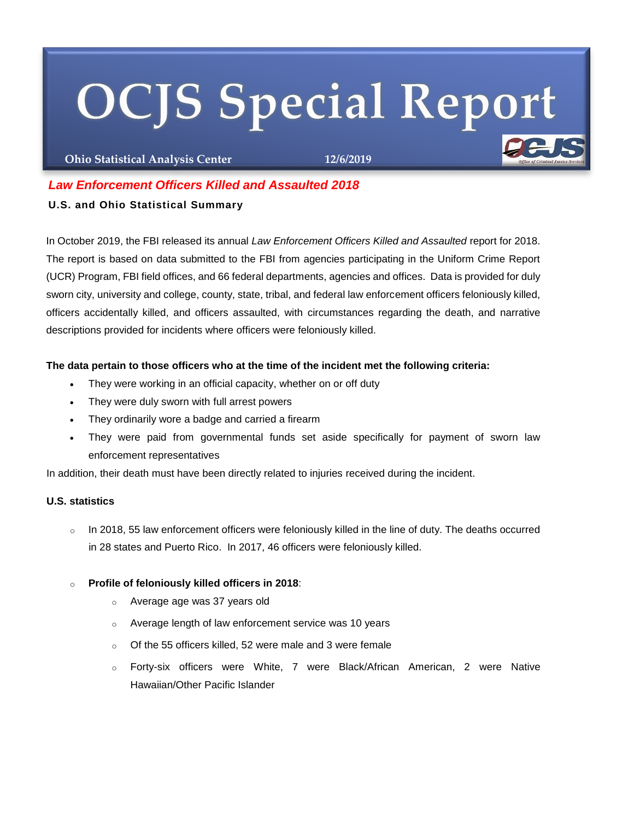# **OCJS Special Report**

**Ohio Statistical Analysis Center 12/6/2019**

# *Law Enforcement Officers Killed and Assaulted 2018*

## **U.S. and Ohio Statistical Summary**

In October 2019, the FBI released its annual *Law Enforcement Officers Killed and Assaulted* report for 2018. The report is based on data submitted to the FBI from agencies participating in the Uniform Crime Report (UCR) Program, FBI field offices, and 66 federal departments, agencies and offices. Data is provided for duly sworn city, university and college, county, state, tribal, and federal law enforcement officers feloniously killed, officers accidentally killed, and officers assaulted, with circumstances regarding the death, and narrative descriptions provided for incidents where officers were feloniously killed.

## **The data pertain to those officers who at the time of the incident met the following criteria:**

- They were working in an official capacity, whether on or off duty
- They were duly sworn with full arrest powers
- They ordinarily wore a badge and carried a firearm
- They were paid from governmental funds set aside specifically for payment of sworn law enforcement representatives

In addition, their death must have been directly related to injuries received during the incident.

#### **U.S. statistics**

 $\circ$  In 2018, 55 law enforcement officers were feloniously killed in the line of duty. The deaths occurred in 28 states and Puerto Rico. In 2017, 46 officers were feloniously killed.

#### o **Profile of feloniously killed officers in 2018**:

- o Average age was 37 years old
- o Average length of law enforcement service was 10 years
- o Of the 55 officers killed, 52 were male and 3 were female
- o Forty-six officers were White, 7 were Black/African American, 2 were Native Hawaiian/Other Pacific Islander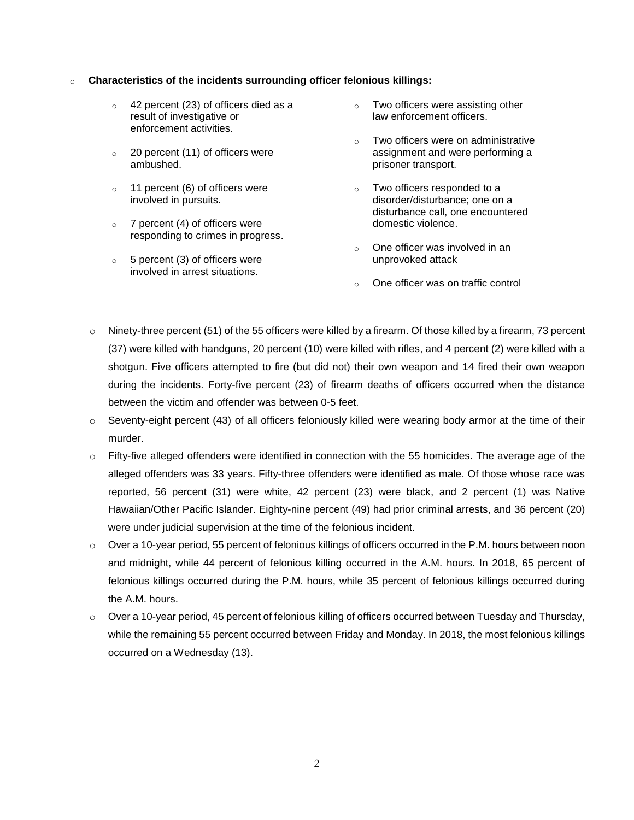#### o **Characteristics of the incidents surrounding officer felonious killings:**

- o 42 percent (23) of officers died as a result of investigative or enforcement activities.
- $\circ$  20 percent (11) of officers were ambushed.
- o 11 percent (6) of officers were involved in pursuits.
- o 7 percent (4) of officers were responding to crimes in progress.
- $\circ$  5 percent (3) of officers were involved in arrest situations.
- o Two officers were assisting other law enforcement officers.
- o Two officers were on administrative assignment and were performing a prisoner transport.
- o Two officers responded to a disorder/disturbance; one on a disturbance call, one encountered domestic violence.
- o One officer was involved in an unprovoked attack
- o One officer was on traffic control
- $\circ$  Ninety-three percent (51) of the 55 officers were killed by a firearm. Of those killed by a firearm, 73 percent (37) were killed with handguns, 20 percent (10) were killed with rifles, and 4 percent (2) were killed with a shotgun. Five officers attempted to fire (but did not) their own weapon and 14 fired their own weapon during the incidents. Forty-five percent (23) of firearm deaths of officers occurred when the distance between the victim and offender was between 0-5 feet.
- o Seventy-eight percent (43) of all officers feloniously killed were wearing body armor at the time of their murder.
- o Fifty-five alleged offenders were identified in connection with the 55 homicides. The average age of the alleged offenders was 33 years. Fifty-three offenders were identified as male. Of those whose race was reported, 56 percent (31) were white, 42 percent (23) were black, and 2 percent (1) was Native Hawaiian/Other Pacific Islander. Eighty-nine percent (49) had prior criminal arrests, and 36 percent (20) were under judicial supervision at the time of the felonious incident.
- o Over a 10-year period, 55 percent of felonious killings of officers occurred in the P.M. hours between noon and midnight, while 44 percent of felonious killing occurred in the A.M. hours. In 2018, 65 percent of felonious killings occurred during the P.M. hours, while 35 percent of felonious killings occurred during the A.M. hours.
- $\circ$  Over a 10-year period, 45 percent of felonious killing of officers occurred between Tuesday and Thursday, while the remaining 55 percent occurred between Friday and Monday. In 2018, the most felonious killings occurred on a Wednesday (13).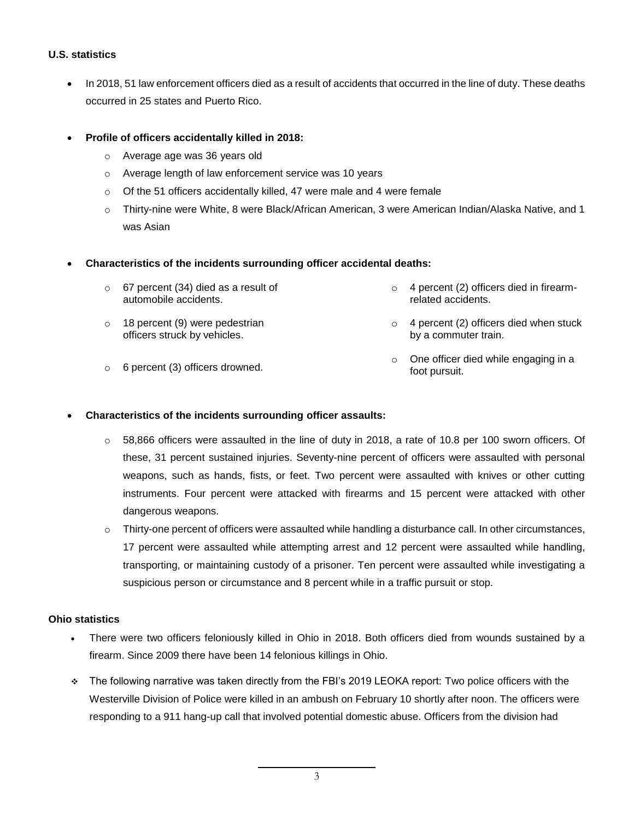#### **U.S. statistics**

• In 2018, 51 law enforcement officers died as a result of accidents that occurred in the line of duty. These deaths occurred in 25 states and Puerto Rico.

#### **Profile of officers accidentally killed in 2018:**

- o Average age was 36 years old
- o Average length of law enforcement service was 10 years
- o Of the 51 officers accidentally killed, 47 were male and 4 were female
- o Thirty-nine were White, 8 were Black/African American, 3 were American Indian/Alaska Native, and 1 was Asian

#### **Characteristics of the incidents surrounding officer accidental deaths:**

| $\circ$ | 67 percent (34) died as a result of<br>automobile accidents.   | $\circ$ | 4 percent (2) officers died in firearm-<br>related accidents.  |
|---------|----------------------------------------------------------------|---------|----------------------------------------------------------------|
| $\circ$ | 18 percent (9) were pedestrian<br>officers struck by vehicles. | $\circ$ | 4 percent (2) officers died when stuck<br>by a commuter train. |
|         | $\circ$ 6 percent (3) officers drowned.                        | $\circ$ | One officer died while engaging in a<br>foot pursuit.          |

#### **Characteristics of the incidents surrounding officer assaults:**

- $\circ$  58,866 officers were assaulted in the line of duty in 2018, a rate of 10.8 per 100 sworn officers. Of these, 31 percent sustained injuries. Seventy-nine percent of officers were assaulted with personal weapons, such as hands, fists, or feet. Two percent were assaulted with knives or other cutting instruments. Four percent were attacked with firearms and 15 percent were attacked with other dangerous weapons.
- o Thirty-one percent of officers were assaulted while handling a disturbance call. In other circumstances, 17 percent were assaulted while attempting arrest and 12 percent were assaulted while handling, transporting, or maintaining custody of a prisoner. Ten percent were assaulted while investigating a suspicious person or circumstance and 8 percent while in a traffic pursuit or stop.

#### **Ohio statistics**

- There were two officers feloniously killed in Ohio in 2018. Both officers died from wounds sustained by a firearm. Since 2009 there have been 14 felonious killings in Ohio.
- The following narrative was taken directly from the FBI's 2019 LEOKA report: Two police officers with the Westerville Division of Police were killed in an ambush on February 10 shortly after noon. The officers were responding to a 911 hang-up call that involved potential domestic abuse. Officers from the division had

3